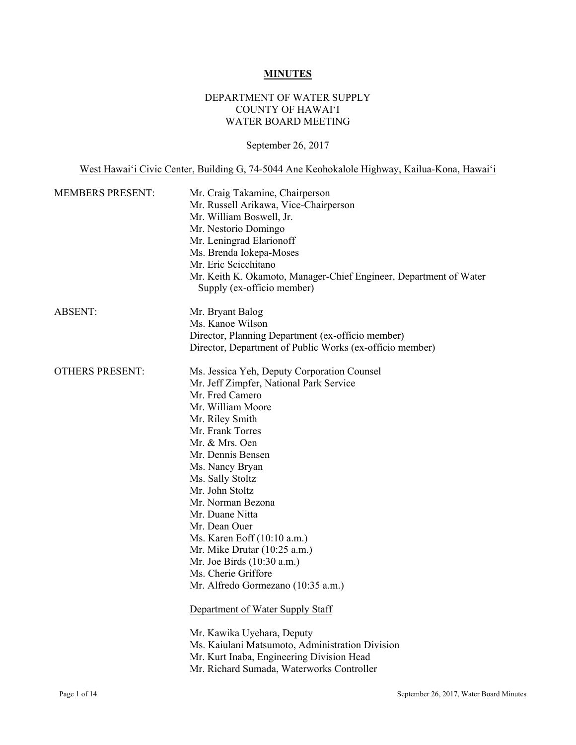# **MINUTES**

# DEPARTMENT OF WATER SUPPLY COUNTY OF HAWAI'I WATER BOARD MEETING

# September 26, 2017

West Hawai'i Civic Center, Building G, 74-5044 Ane Keohokalole Highway, Kailua-Kona, Hawai'i

| Mr. Craig Takamine, Chairperson<br>Mr. Russell Arikawa, Vice-Chairperson<br>Mr. William Boswell, Jr.<br>Mr. Nestorio Domingo<br>Mr. Leningrad Elarionoff<br>Ms. Brenda Iokepa-Moses<br>Mr. Eric Scicchitano<br>Mr. Keith K. Okamoto, Manager-Chief Engineer, Department of Water<br>Supply (ex-officio member)                                                                                                                                                                                                                                                                                                                                                                                             |
|------------------------------------------------------------------------------------------------------------------------------------------------------------------------------------------------------------------------------------------------------------------------------------------------------------------------------------------------------------------------------------------------------------------------------------------------------------------------------------------------------------------------------------------------------------------------------------------------------------------------------------------------------------------------------------------------------------|
| Mr. Bryant Balog<br>Ms. Kanoe Wilson<br>Director, Planning Department (ex-officio member)<br>Director, Department of Public Works (ex-officio member)                                                                                                                                                                                                                                                                                                                                                                                                                                                                                                                                                      |
| Ms. Jessica Yeh, Deputy Corporation Counsel<br>Mr. Jeff Zimpfer, National Park Service<br>Mr. Fred Camero<br>Mr. William Moore<br>Mr. Riley Smith<br>Mr. Frank Torres<br>Mr. & Mrs. Oen<br>Mr. Dennis Bensen<br>Ms. Nancy Bryan<br>Ms. Sally Stoltz<br>Mr. John Stoltz<br>Mr. Norman Bezona<br>Mr. Duane Nitta<br>Mr. Dean Ouer<br>Ms. Karen Eoff (10:10 a.m.)<br>Mr. Mike Drutar $(10:25 a.m.)$<br>Mr. Joe Birds (10:30 a.m.)<br>Ms. Cherie Griffore<br>Mr. Alfredo Gormezano (10:35 a.m.)<br>Department of Water Supply Staff<br>Mr. Kawika Uyehara, Deputy<br>Ms. Kaiulani Matsumoto, Administration Division<br>Mr. Kurt Inaba, Engineering Division Head<br>Mr. Richard Sumada, Waterworks Controller |
|                                                                                                                                                                                                                                                                                                                                                                                                                                                                                                                                                                                                                                                                                                            |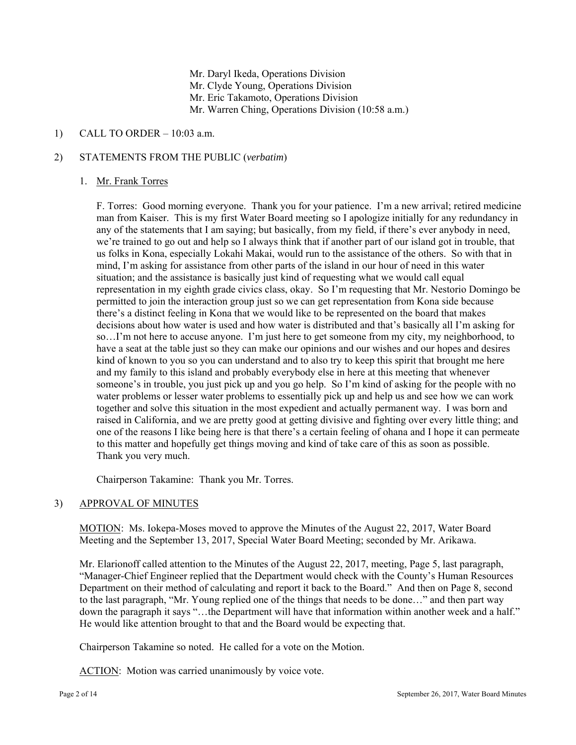Mr. Daryl Ikeda, Operations Division Mr. Clyde Young, Operations Division Mr. Eric Takamoto, Operations Division Mr. Warren Ching, Operations Division (10:58 a.m.)

# 1) CALL TO ORDER – 10:03 a.m.

## 2) STATEMENTS FROM THE PUBLIC (*verbatim*)

#### 1. Mr. Frank Torres

 representation in my eighth grade civics class, okay. So I'm requesting that Mr. Nestorio Domingo be F. Torres: Good morning everyone. Thank you for your patience. I'm a new arrival; retired medicine man from Kaiser. This is my first Water Board meeting so I apologize initially for any redundancy in any of the statements that I am saying; but basically, from my field, if there's ever anybody in need, we're trained to go out and help so I always think that if another part of our island got in trouble, that us folks in Kona, especially Lokahi Makai, would run to the assistance of the others. So with that in mind, I'm asking for assistance from other parts of the island in our hour of need in this water situation; and the assistance is basically just kind of requesting what we would call equal permitted to join the interaction group just so we can get representation from Kona side because there's a distinct feeling in Kona that we would like to be represented on the board that makes decisions about how water is used and how water is distributed and that's basically all I'm asking for so…I'm not here to accuse anyone. I'm just here to get someone from my city, my neighborhood, to have a seat at the table just so they can make our opinions and our wishes and our hopes and desires kind of known to you so you can understand and to also try to keep this spirit that brought me here and my family to this island and probably everybody else in here at this meeting that whenever someone's in trouble, you just pick up and you go help. So I'm kind of asking for the people with no water problems or lesser water problems to essentially pick up and help us and see how we can work together and solve this situation in the most expedient and actually permanent way. I was born and raised in California, and we are pretty good at getting divisive and fighting over every little thing; and one of the reasons I like being here is that there's a certain feeling of ohana and I hope it can permeate to this matter and hopefully get things moving and kind of take care of this as soon as possible. Thank you very much.

Chairperson Takamine: Thank you Mr. Torres.

# **APPROVAL OF MINUTES**

3) APPROVAL OF MINUTES<br>MOTION: Ms. Iokepa-Moses moved to approve the Minutes of the August 22, 2017, Water Board Meeting and the September 13, 2017, Special Water Board Meeting; seconded by Mr. Arikawa.

Mr. Elarionoff called attention to the Minutes of the August 22, 2017, meeting, Page 5, last paragraph, "Manager-Chief Engineer replied that the Department would check with the County's Human Resources Department on their method of calculating and report it back to the Board." And then on Page 8, second to the last paragraph, "Mr. Young replied one of the things that needs to be done…" and then part way down the paragraph it says "…the Department will have that information within another week and a half." He would like attention brought to that and the Board would be expecting that.

Chairperson Takamine so noted. He called for a vote on the Motion.

ACTION: Motion was carried unanimously by voice vote.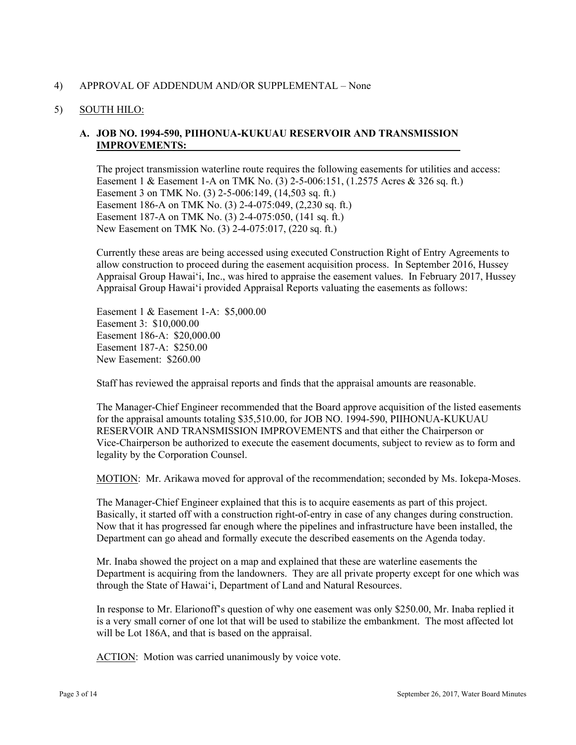## 4) APPROVAL OF ADDENDUM AND/OR SUPPLEMENTAL – None

### 5) SOUTH HILO:

# **IMPROVEMENTS: A. JOB NO. 1994-590, PIIHONUA-KUKUAU RESERVOIR AND TRANSMISSION**

The project transmission waterline route requires the following easements for utilities and access: Easement 1 & Easement 1-A on TMK No. (3) 2-5-006:151, (1.2575 Acres & 326 sq. ft.) Easement 3 on TMK No. (3) 2-5-006:149, (14,503 sq. ft.) Easement 186-A on TMK No. (3) 2-4-075:049, (2,230 sq. ft.) Easement 187-A on TMK No. (3) 2-4-075:050, (141 sq. ft.) New Easement on TMK No. (3) 2-4-075:017, (220 sq. ft.)

Currently these areas are being accessed using executed Construction Right of Entry Agreements to allow construction to proceed during the easement acquisition process. In September 2016, Hussey Appraisal Group Hawai'i, Inc., was hired to appraise the easement values. In February 2017, Hussey Appraisal Group Hawai'i provided Appraisal Reports valuating the easements as follows:

Easement 1 & Easement 1-A: \$5,000.00 Easement 3: \$10,000.00 Easement 186-A: \$20,000.00 Easement 187-A: \$250.00 New Easement: \$260.00

Staff has reviewed the appraisal reports and finds that the appraisal amounts are reasonable.

The Manager-Chief Engineer recommended that the Board approve acquisition of the listed easements for the appraisal amounts totaling \$35,510.00, for JOB NO. 1994-590, PIIHONUA-KUKUAU RESERVOIR AND TRANSMISSION IMPROVEMENTS and that either the Chairperson or Vice-Chairperson be authorized to execute the easement documents, subject to review as to form and legality by the Corporation Counsel.

MOTION: Mr. Arikawa moved for approval of the recommendation; seconded by Ms. Iokepa-Moses.

The Manager-Chief Engineer explained that this is to acquire easements as part of this project. Basically, it started off with a construction right-of-entry in case of any changes during construction. Now that it has progressed far enough where the pipelines and infrastructure have been installed, the Department can go ahead and formally execute the described easements on the Agenda today.

Mr. Inaba showed the project on a map and explained that these are waterline easements the Department is acquiring from the landowners. They are all private property except for one which was through the State of Hawai'i, Department of Land and Natural Resources.

In response to Mr. Elarionoff's question of why one easement was only \$250.00, Mr. Inaba replied it is a very small corner of one lot that will be used to stabilize the embankment. The most affected lot will be Lot 186A, and that is based on the appraisal.

ACTION: Motion was carried unanimously by voice vote.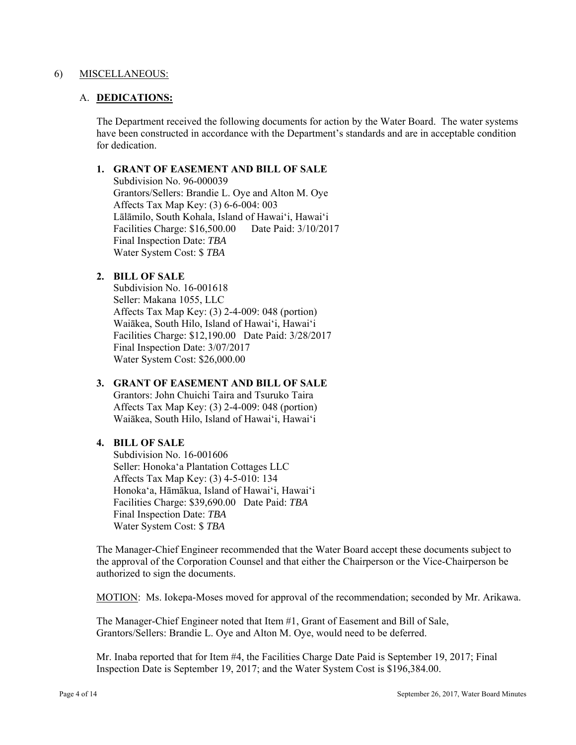#### 6) MISCELLANEOUS:

### A. **DEDICATIONS:**

The Department received the following documents for action by the Water Board. The water systems have been constructed in accordance with the Department's standards and are in acceptable condition for dedication.

### **1. GRANT OF EASEMENT AND BILL OF SALE**

Subdivision No. 96-000039 Grantors/Sellers: Brandie L. Oye and Alton M. Oye Affects Tax Map Key: (3) 6-6-004: 003 Lālāmilo, South Kohala, Island of Hawai'i, Hawai'i Facilities Charge: \$16,500.00 Date Paid: 3/10/2017 Final Inspection Date: *TBA*  Water System Cost: \$ *TBA* 

# **2. BILL OF SALE**

Subdivision No. 16-001618 Seller: Makana 1055, LLC Affects Tax Map Key: (3) 2-4-009: 048 (portion) Waiākea, South Hilo, Island of Hawai'i, Hawai'i Facilities Charge: \$12,190.00 Date Paid: 3/28/2017 Final Inspection Date: 3/07/2017 Water System Cost: \$26,000.00

# **3. GRANT OF EASEMENT AND BILL OF SALE**

Grantors: John Chuichi Taira and Tsuruko Taira Affects Tax Map Key: (3) 2-4-009: 048 (portion) Waiākea, South Hilo, Island of Hawai'i, Hawai'i

# **4. BILL OF SALE**

 Subdivision No. 16-001606 Seller: Honoka'a Plantation Cottages LLC Affects Tax Map Key: (3) 4-5-010: 134 Honoka'a, Hāmākua, Island of Hawai'i, Hawai'i Facilities Charge: \$39,690.00 Date Paid: *TBA* Final Inspection Date: *TBA*  Water System Cost: \$ *TBA* 

The Manager-Chief Engineer recommended that the Water Board accept these documents subject to the approval of the Corporation Counsel and that either the Chairperson or the Vice-Chairperson be authorized to sign the documents.

MOTION: Ms. Iokepa-Moses moved for approval of the recommendation; seconded by Mr. Arikawa.

The Manager-Chief Engineer noted that Item #1, Grant of Easement and Bill of Sale, Grantors/Sellers: Brandie L. Oye and Alton M. Oye, would need to be deferred.

Mr. Inaba reported that for Item #4, the Facilities Charge Date Paid is September 19, 2017; Final Inspection Date is September 19, 2017; and the Water System Cost is \$196,384.00.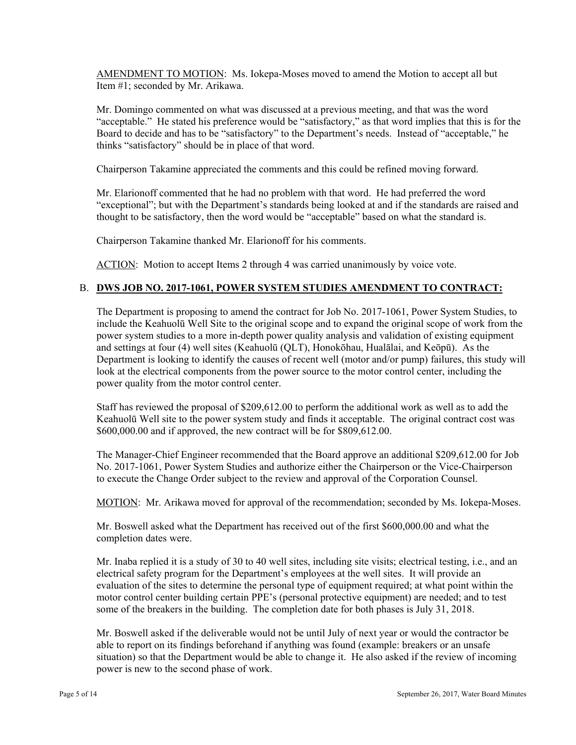AMENDMENT TO MOTION: Ms. Iokepa-Moses moved to amend the Motion to accept all but Item #1; seconded by Mr. Arikawa.

Mr. Domingo commented on what was discussed at a previous meeting, and that was the word "acceptable." He stated his preference would be "satisfactory," as that word implies that this is for the Board to decide and has to be "satisfactory" to the Department's needs. Instead of "acceptable," he thinks "satisfactory" should be in place of that word.

Chairperson Takamine appreciated the comments and this could be refined moving forward.

Mr. Elarionoff commented that he had no problem with that word. He had preferred the word "exceptional"; but with the Department's standards being looked at and if the standards are raised and thought to be satisfactory, then the word would be "acceptable" based on what the standard is.

Chairperson Takamine thanked Mr. Elarionoff for his comments.

ACTION: Motion to accept Items 2 through 4 was carried unanimously by voice vote.

# B. **DWS JOB NO. 2017-1061, POWER SYSTEM STUDIES AMENDMENT TO CONTRACT:**

The Department is proposing to amend the contract for Job No. 2017-1061, Power System Studies, to include the Keahuolū Well Site to the original scope and to expand the original scope of work from the power system studies to a more in-depth power quality analysis and validation of existing equipment and settings at four (4) well sites (Keahuolū (QLT), Honokōhau, Hualālai, and Keōpū). As the Department is looking to identify the causes of recent well (motor and/or pump) failures, this study will look at the electrical components from the power source to the motor control center, including the power quality from the motor control center.

Staff has reviewed the proposal of \$209,612.00 to perform the additional work as well as to add the Keahuolū Well site to the power system study and finds it acceptable. The original contract cost was \$600,000.00 and if approved, the new contract will be for \$809,612.00.

The Manager-Chief Engineer recommended that the Board approve an additional \$209,612.00 for Job No. 2017-1061, Power System Studies and authorize either the Chairperson or the Vice-Chairperson to execute the Change Order subject to the review and approval of the Corporation Counsel.

MOTION: Mr. Arikawa moved for approval of the recommendation; seconded by Ms. Iokepa-Moses.

Mr. Boswell asked what the Department has received out of the first \$600,000.00 and what the completion dates were.

Mr. Inaba replied it is a study of 30 to 40 well sites, including site visits; electrical testing, i.e., and an electrical safety program for the Department's employees at the well sites. It will provide an evaluation of the sites to determine the personal type of equipment required; at what point within the motor control center building certain PPE's (personal protective equipment) are needed; and to test some of the breakers in the building. The completion date for both phases is July 31, 2018.

Mr. Boswell asked if the deliverable would not be until July of next year or would the contractor be able to report on its findings beforehand if anything was found (example: breakers or an unsafe situation) so that the Department would be able to change it. He also asked if the review of incoming power is new to the second phase of work.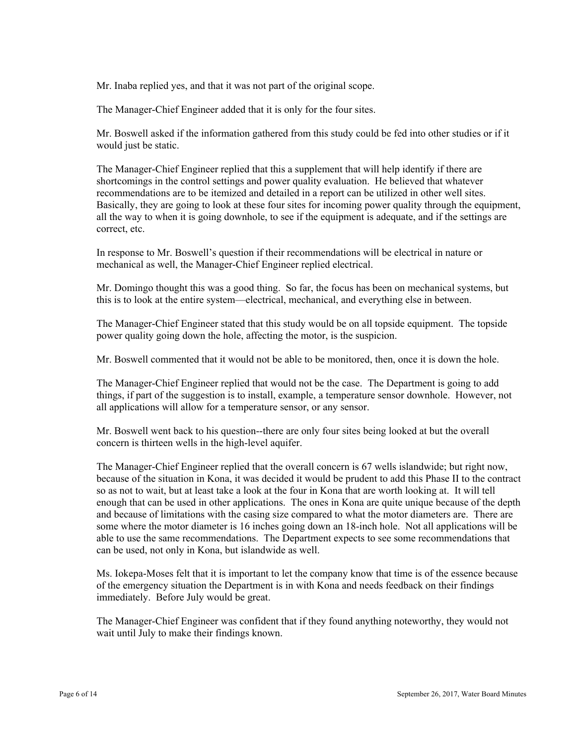Mr. Inaba replied yes, and that it was not part of the original scope.

The Manager-Chief Engineer added that it is only for the four sites.

Mr. Boswell asked if the information gathered from this study could be fed into other studies or if it would just be static.

The Manager-Chief Engineer replied that this a supplement that will help identify if there are shortcomings in the control settings and power quality evaluation. He believed that whatever recommendations are to be itemized and detailed in a report can be utilized in other well sites. Basically, they are going to look at these four sites for incoming power quality through the equipment, all the way to when it is going downhole, to see if the equipment is adequate, and if the settings are correct, etc.

In response to Mr. Boswell's question if their recommendations will be electrical in nature or mechanical as well, the Manager-Chief Engineer replied electrical.

Mr. Domingo thought this was a good thing. So far, the focus has been on mechanical systems, but this is to look at the entire system—electrical, mechanical, and everything else in between.

The Manager-Chief Engineer stated that this study would be on all topside equipment. The topside power quality going down the hole, affecting the motor, is the suspicion.

Mr. Boswell commented that it would not be able to be monitored, then, once it is down the hole.

The Manager-Chief Engineer replied that would not be the case. The Department is going to add things, if part of the suggestion is to install, example, a temperature sensor downhole. However, not all applications will allow for a temperature sensor, or any sensor.

Mr. Boswell went back to his question--there are only four sites being looked at but the overall concern is thirteen wells in the high-level aquifer.

The Manager-Chief Engineer replied that the overall concern is 67 wells islandwide; but right now, because of the situation in Kona, it was decided it would be prudent to add this Phase II to the contract so as not to wait, but at least take a look at the four in Kona that are worth looking at. It will tell enough that can be used in other applications. The ones in Kona are quite unique because of the depth and because of limitations with the casing size compared to what the motor diameters are. There are some where the motor diameter is 16 inches going down an 18-inch hole. Not all applications will be able to use the same recommendations. The Department expects to see some recommendations that can be used, not only in Kona, but islandwide as well.

 immediately. Before July would be great. Ms. Iokepa-Moses felt that it is important to let the company know that time is of the essence because of the emergency situation the Department is in with Kona and needs feedback on their findings

The Manager-Chief Engineer was confident that if they found anything noteworthy, they would not wait until July to make their findings known.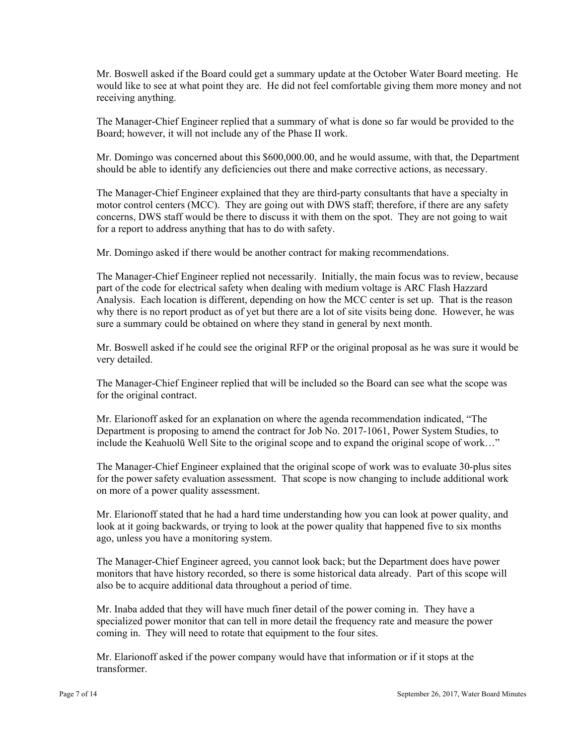would like to see at what point they are. He did not feel comfortable giving them more money and not Mr. Boswell asked if the Board could get a summary update at the October Water Board meeting. He receiving anything.

The Manager-Chief Engineer replied that a summary of what is done so far would be provided to the Board; however, it will not include any of the Phase II work.

Mr. Domingo was concerned about this \$600,000.00, and he would assume, with that, the Department should be able to identify any deficiencies out there and make corrective actions, as necessary.

The Manager-Chief Engineer explained that they are third-party consultants that have a specialty in motor control centers (MCC). They are going out with DWS staff; therefore, if there are any safety concerns, DWS staff would be there to discuss it with them on the spot. They are not going to wait for a report to address anything that has to do with safety.

Mr. Domingo asked if there would be another contract for making recommendations.

The Manager-Chief Engineer replied not necessarily. Initially, the main focus was to review, because part of the code for electrical safety when dealing with medium voltage is ARC Flash Hazzard Analysis. Each location is different, depending on how the MCC center is set up. That is the reason why there is no report product as of yet but there are a lot of site visits being done. However, he was sure a summary could be obtained on where they stand in general by next month.

Mr. Boswell asked if he could see the original RFP or the original proposal as he was sure it would be very detailed.

The Manager-Chief Engineer replied that will be included so the Board can see what the scope was for the original contract.

Mr. Elarionoff asked for an explanation on where the agenda recommendation indicated, "The Department is proposing to amend the contract for Job No. 2017-1061, Power System Studies, to include the Keahuolū Well Site to the original scope and to expand the original scope of work…"

The Manager-Chief Engineer explained that the original scope of work was to evaluate 30-plus sites for the power safety evaluation assessment. That scope is now changing to include additional work on more of a power quality assessment.

Mr. Elarionoff stated that he had a hard time understanding how you can look at power quality, and look at it going backwards, or trying to look at the power quality that happened five to six months ago, unless you have a monitoring system.

 monitors that have history recorded, so there is some historical data already. Part of this scope will The Manager-Chief Engineer agreed, you cannot look back; but the Department does have power also be to acquire additional data throughout a period of time.

Mr. Inaba added that they will have much finer detail of the power coming in. They have a specialized power monitor that can tell in more detail the frequency rate and measure the power coming in. They will need to rotate that equipment to the four sites.

Mr. Elarionoff asked if the power company would have that information or if it stops at the transformer.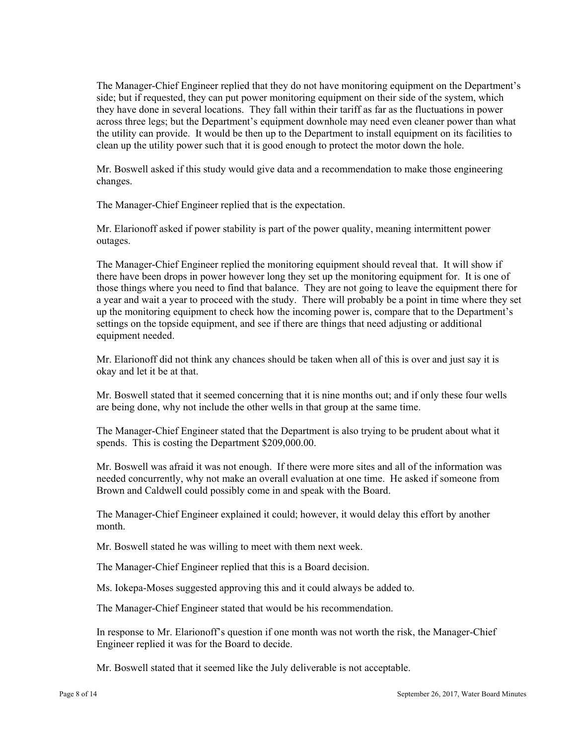The Manager-Chief Engineer replied that they do not have monitoring equipment on the Department's side; but if requested, they can put power monitoring equipment on their side of the system, which they have done in several locations. They fall within their tariff as far as the fluctuations in power across three legs; but the Department's equipment downhole may need even cleaner power than what the utility can provide. It would be then up to the Department to install equipment on its facilities to clean up the utility power such that it is good enough to protect the motor down the hole.

Mr. Boswell asked if this study would give data and a recommendation to make those engineering changes.

The Manager-Chief Engineer replied that is the expectation.

Mr. Elarionoff asked if power stability is part of the power quality, meaning intermittent power outages.

 a year and wait a year to proceed with the study. There will probably be a point in time where they set The Manager-Chief Engineer replied the monitoring equipment should reveal that. It will show if there have been drops in power however long they set up the monitoring equipment for. It is one of those things where you need to find that balance. They are not going to leave the equipment there for up the monitoring equipment to check how the incoming power is, compare that to the Department's settings on the topside equipment, and see if there are things that need adjusting or additional equipment needed.

Mr. Elarionoff did not think any chances should be taken when all of this is over and just say it is okay and let it be at that.

Mr. Boswell stated that it seemed concerning that it is nine months out; and if only these four wells are being done, why not include the other wells in that group at the same time.

The Manager-Chief Engineer stated that the Department is also trying to be prudent about what it spends. This is costing the Department \$209,000.00.

Mr. Boswell was afraid it was not enough. If there were more sites and all of the information was needed concurrently, why not make an overall evaluation at one time. He asked if someone from Brown and Caldwell could possibly come in and speak with the Board.

The Manager-Chief Engineer explained it could; however, it would delay this effort by another month.

Mr. Boswell stated he was willing to meet with them next week.

The Manager-Chief Engineer replied that this is a Board decision.

Ms. Iokepa-Moses suggested approving this and it could always be added to.

The Manager-Chief Engineer stated that would be his recommendation.

In response to Mr. Elarionoff's question if one month was not worth the risk, the Manager-Chief Engineer replied it was for the Board to decide.

Mr. Boswell stated that it seemed like the July deliverable is not acceptable.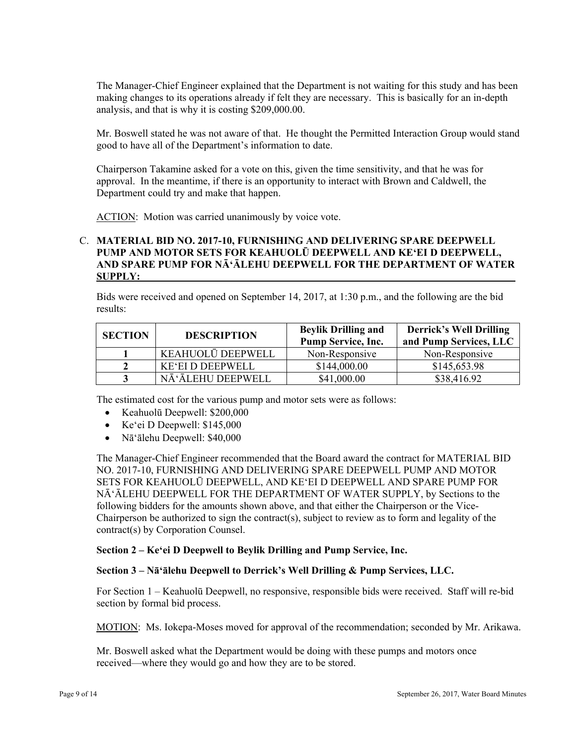making changes to its operations already if felt they are necessary. This is basically for an in-depth The Manager-Chief Engineer explained that the Department is not waiting for this study and has been analysis, and that is why it is costing \$209,000.00.

Mr. Boswell stated he was not aware of that. He thought the Permitted Interaction Group would stand good to have all of the Department's information to date.

Chairperson Takamine asked for a vote on this, given the time sensitivity, and that he was for approval. In the meantime, if there is an opportunity to interact with Brown and Caldwell, the Department could try and make that happen.

ACTION: Motion was carried unanimously by voice vote.

## C. **MATERIAL BID NO. 2017-10, FURNISHING AND DELIVERING SPARE DEEPWELL PUMP AND MOTOR SETS FOR KEAHUOLŪ DEEPWELL AND KE'EI D DEEPWELL, AND SPARE PUMP FOR NĀ'ĀLEHU DEEPWELL FOR THE DEPARTMENT OF WATER SUPPLY:**

Bids were received and opened on September 14, 2017, at 1:30 p.m., and the following are the bid results:

| <b>SECTION</b> | <b>DESCRIPTION</b>      | <b>Beylik Drilling and</b><br><b>Pump Service, Inc.</b> | <b>Derrick's Well Drilling</b><br>and Pump Services, LLC |
|----------------|-------------------------|---------------------------------------------------------|----------------------------------------------------------|
|                | KEAHUOLŪ DEEPWELL       | Non-Responsive                                          | Non-Responsive                                           |
|                | <b>KE'EI D DEEPWELL</b> | \$144,000.00                                            | \$145,653.98                                             |
|                | NĀ'ĀLEHU DEEPWELL       | \$41,000.00                                             | \$38,416.92                                              |

The estimated cost for the various pump and motor sets were as follows:

- Keahuolū Deepwell: \$200,000
- Ke'ei D Deepwell: \$145,000
- Nā'ālehu Deepwell: \$40,000

The Manager-Chief Engineer recommended that the Board award the contract for MATERIAL BID NO. 2017-10, FURNISHING AND DELIVERING SPARE DEEPWELL PUMP AND MOTOR SETS FOR KEAHUOLŪ DEEPWELL, AND KE'EI D DEEPWELL AND SPARE PUMP FOR NĀ'ĀLEHU DEEPWELL FOR THE DEPARTMENT OF WATER SUPPLY, by Sections to the following bidders for the amounts shown above, and that either the Chairperson or the Vice-Chairperson be authorized to sign the contract(s), subject to review as to form and legality of the contract(s) by Corporation Counsel.

# **Section 2 – Ke'ei D Deepwell to Beylik Drilling and Pump Service, Inc.**

#### **Section 3 – Nā'ālehu Deepwell to Derrick's Well Drilling & Pump Services, LLC.**

For Section 1 – Keahuolū Deepwell, no responsive, responsible bids were received. Staff will re-bid section by formal bid process.

MOTION: Ms. Iokepa-Moses moved for approval of the recommendation; seconded by Mr. Arikawa.

Mr. Boswell asked what the Department would be doing with these pumps and motors once received—where they would go and how they are to be stored.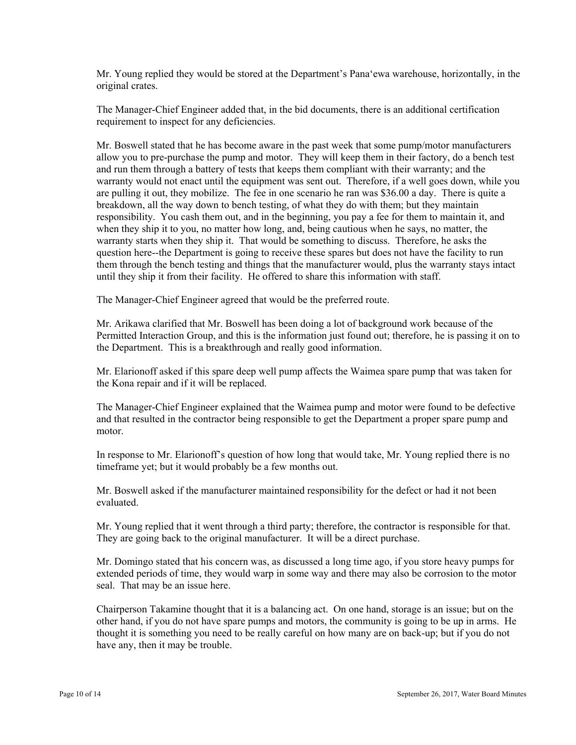Mr. Young replied they would be stored at the Department's Pana'ewa warehouse, horizontally, in the original crates.

The Manager-Chief Engineer added that, in the bid documents, there is an additional certification requirement to inspect for any deficiencies.

Mr. Boswell stated that he has become aware in the past week that some pump/motor manufacturers allow you to pre-purchase the pump and motor. They will keep them in their factory, do a bench test and run them through a battery of tests that keeps them compliant with their warranty; and the warranty would not enact until the equipment was sent out. Therefore, if a well goes down, while you are pulling it out, they mobilize. The fee in one scenario he ran was \$36.00 a day. There is quite a breakdown, all the way down to bench testing, of what they do with them; but they maintain responsibility. You cash them out, and in the beginning, you pay a fee for them to maintain it, and when they ship it to you, no matter how long, and, being cautious when he says, no matter, the warranty starts when they ship it. That would be something to discuss. Therefore, he asks the question here--the Department is going to receive these spares but does not have the facility to run them through the bench testing and things that the manufacturer would, plus the warranty stays intact until they ship it from their facility. He offered to share this information with staff.

The Manager-Chief Engineer agreed that would be the preferred route.

Mr. Arikawa clarified that Mr. Boswell has been doing a lot of background work because of the Permitted Interaction Group, and this is the information just found out; therefore, he is passing it on to the Department. This is a breakthrough and really good information.

Mr. Elarionoff asked if this spare deep well pump affects the Waimea spare pump that was taken for the Kona repair and if it will be replaced.

motor. The Manager-Chief Engineer explained that the Waimea pump and motor were found to be defective and that resulted in the contractor being responsible to get the Department a proper spare pump and

In response to Mr. Elarionoff's question of how long that would take, Mr. Young replied there is no timeframe yet; but it would probably be a few months out.

Mr. Boswell asked if the manufacturer maintained responsibility for the defect or had it not been evaluated.

Mr. Young replied that it went through a third party; therefore, the contractor is responsible for that. They are going back to the original manufacturer. It will be a direct purchase.

Mr. Domingo stated that his concern was, as discussed a long time ago, if you store heavy pumps for extended periods of time, they would warp in some way and there may also be corrosion to the motor seal. That may be an issue here.

Chairperson Takamine thought that it is a balancing act. On one hand, storage is an issue; but on the other hand, if you do not have spare pumps and motors, the community is going to be up in arms. He thought it is something you need to be really careful on how many are on back-up; but if you do not have any, then it may be trouble.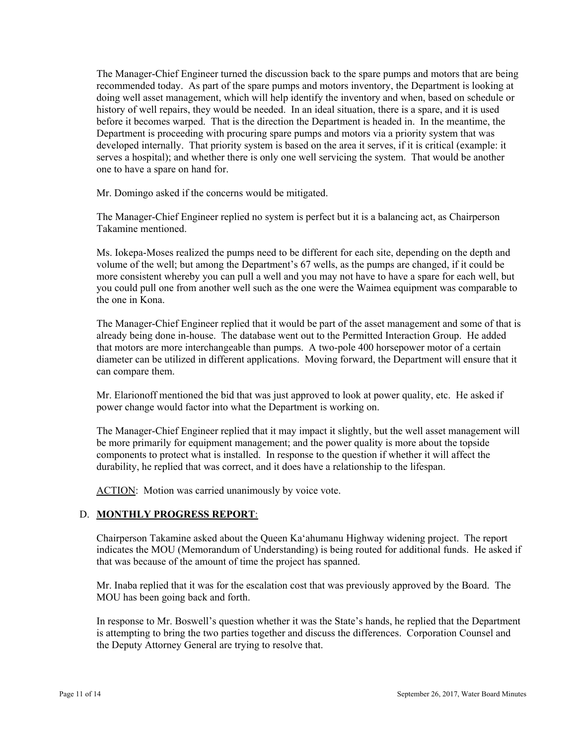The Manager-Chief Engineer turned the discussion back to the spare pumps and motors that are being recommended today. As part of the spare pumps and motors inventory, the Department is looking at doing well asset management, which will help identify the inventory and when, based on schedule or history of well repairs, they would be needed. In an ideal situation, there is a spare, and it is used before it becomes warped. That is the direction the Department is headed in. In the meantime, the Department is proceeding with procuring spare pumps and motors via a priority system that was developed internally. That priority system is based on the area it serves, if it is critical (example: it serves a hospital); and whether there is only one well servicing the system. That would be another one to have a spare on hand for.

Mr. Domingo asked if the concerns would be mitigated.

The Manager-Chief Engineer replied no system is perfect but it is a balancing act, as Chairperson Takamine mentioned.

Ms. Iokepa-Moses realized the pumps need to be different for each site, depending on the depth and volume of the well; but among the Department's 67 wells, as the pumps are changed, if it could be more consistent whereby you can pull a well and you may not have to have a spare for each well, but you could pull one from another well such as the one were the Waimea equipment was comparable to the one in Kona.

The Manager-Chief Engineer replied that it would be part of the asset management and some of that is already being done in-house. The database went out to the Permitted Interaction Group. He added that motors are more interchangeable than pumps. A two-pole 400 horsepower motor of a certain diameter can be utilized in different applications. Moving forward, the Department will ensure that it can compare them.

Mr. Elarionoff mentioned the bid that was just approved to look at power quality, etc. He asked if power change would factor into what the Department is working on.

The Manager-Chief Engineer replied that it may impact it slightly, but the well asset management will be more primarily for equipment management; and the power quality is more about the topside components to protect what is installed. In response to the question if whether it will affect the durability, he replied that was correct, and it does have a relationship to the lifespan.

ACTION: Motion was carried unanimously by voice vote.

# D. **MONTHLY PROGRESS REPORT**:

Chairperson Takamine asked about the Queen Ka'ahumanu Highway widening project. The report indicates the MOU (Memorandum of Understanding) is being routed for additional funds. He asked if that was because of the amount of time the project has spanned.

Mr. Inaba replied that it was for the escalation cost that was previously approved by the Board. The MOU has been going back and forth.

In response to Mr. Boswell's question whether it was the State's hands, he replied that the Department is attempting to bring the two parties together and discuss the differences. Corporation Counsel and the Deputy Attorney General are trying to resolve that.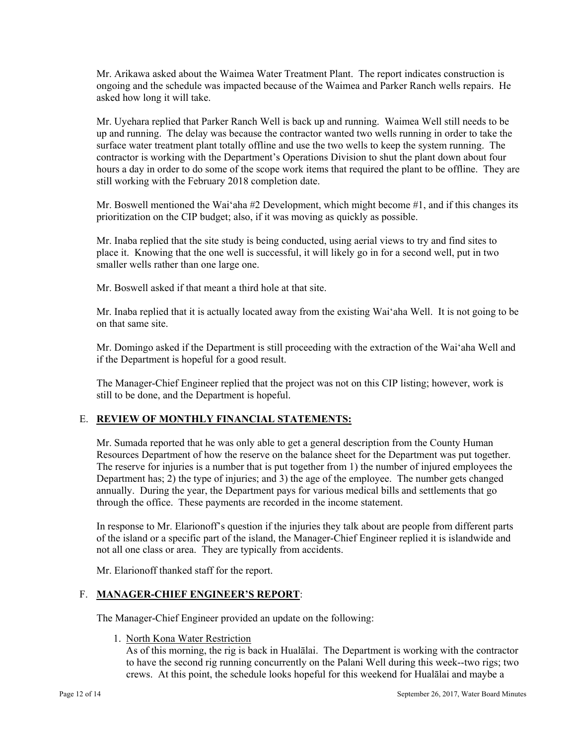Mr. Arikawa asked about the Waimea Water Treatment Plant. The report indicates construction is ongoing and the schedule was impacted because of the Waimea and Parker Ranch wells repairs. He asked how long it will take.

Mr. Uyehara replied that Parker Ranch Well is back up and running. Waimea Well still needs to be up and running. The delay was because the contractor wanted two wells running in order to take the surface water treatment plant totally offline and use the two wells to keep the system running. The contractor is working with the Department's Operations Division to shut the plant down about four hours a day in order to do some of the scope work items that required the plant to be offline. They are still working with the February 2018 completion date.

Mr. Boswell mentioned the Wai'aha  $#2$  Development, which might become  $#1$ , and if this changes its prioritization on the CIP budget; also, if it was moving as quickly as possible.

Mr. Inaba replied that the site study is being conducted, using aerial views to try and find sites to place it. Knowing that the one well is successful, it will likely go in for a second well, put in two smaller wells rather than one large one.

Mr. Boswell asked if that meant a third hole at that site.

Mr. Inaba replied that it is actually located away from the existing Wai'aha Well. It is not going to be on that same site.

Mr. Domingo asked if the Department is still proceeding with the extraction of the Wai'aha Well and if the Department is hopeful for a good result.

The Manager-Chief Engineer replied that the project was not on this CIP listing; however, work is still to be done, and the Department is hopeful.

# E. **REVIEW OF MONTHLY FINANCIAL STATEMENTS:**

Mr. Sumada reported that he was only able to get a general description from the County Human Resources Department of how the reserve on the balance sheet for the Department was put together. The reserve for injuries is a number that is put together from 1) the number of injured employees the Department has; 2) the type of injuries; and 3) the age of the employee. The number gets changed annually. During the year, the Department pays for various medical bills and settlements that go through the office. These payments are recorded in the income statement.

In response to Mr. Elarionoff's question if the injuries they talk about are people from different parts of the island or a specific part of the island, the Manager-Chief Engineer replied it is islandwide and not all one class or area. They are typically from accidents.

Mr. Elarionoff thanked staff for the report.

# F. **MANAGER-CHIEF ENGINEER'S REPORT**:

The Manager-Chief Engineer provided an update on the following:

1. North Kona Water Restriction

As of this morning, the rig is back in Hualālai. The Department is working with the contractor to have the second rig running concurrently on the Palani Well during this week--two rigs; two crews. At this point, the schedule looks hopeful for this weekend for Hualālai and maybe a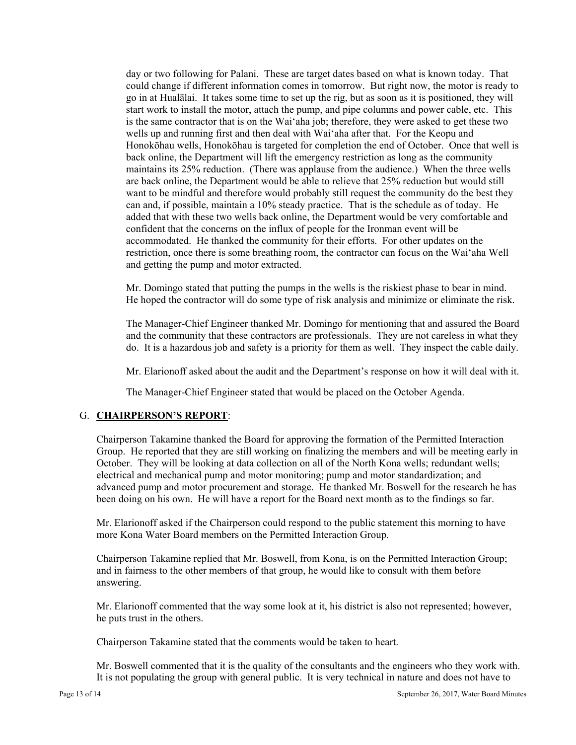day or two following for Palani. These are target dates based on what is known today. That could change if different information comes in tomorrow. But right now, the motor is ready to go in at Hualālai. It takes some time to set up the rig, but as soon as it is positioned, they will start work to install the motor, attach the pump, and pipe columns and power cable, etc. This is the same contractor that is on the Wai'aha job; therefore, they were asked to get these two wells up and running first and then deal with Wai'aha after that. For the Keopu and Honokōhau wells, Honokōhau is targeted for completion the end of October. Once that well is back online, the Department will lift the emergency restriction as long as the community maintains its 25% reduction. (There was applause from the audience.) When the three wells are back online, the Department would be able to relieve that 25% reduction but would still want to be mindful and therefore would probably still request the community do the best they can and, if possible, maintain a 10% steady practice. That is the schedule as of today. He added that with these two wells back online, the Department would be very comfortable and confident that the concerns on the influx of people for the Ironman event will be accommodated. He thanked the community for their efforts. For other updates on the restriction, once there is some breathing room, the contractor can focus on the Wai'aha Well and getting the pump and motor extracted.

Mr. Domingo stated that putting the pumps in the wells is the riskiest phase to bear in mind. He hoped the contractor will do some type of risk analysis and minimize or eliminate the risk.

The Manager-Chief Engineer thanked Mr. Domingo for mentioning that and assured the Board and the community that these contractors are professionals. They are not careless in what they do. It is a hazardous job and safety is a priority for them as well. They inspect the cable daily.

Mr. Elarionoff asked about the audit and the Department's response on how it will deal with it.

The Manager-Chief Engineer stated that would be placed on the October Agenda.

# G. **CHAIRPERSON'S REPORT**:

Chairperson Takamine thanked the Board for approving the formation of the Permitted Interaction Group. He reported that they are still working on finalizing the members and will be meeting early in October. They will be looking at data collection on all of the North Kona wells; redundant wells; electrical and mechanical pump and motor monitoring; pump and motor standardization; and advanced pump and motor procurement and storage. He thanked Mr. Boswell for the research he has been doing on his own. He will have a report for the Board next month as to the findings so far.

Mr. Elarionoff asked if the Chairperson could respond to the public statement this morning to have more Kona Water Board members on the Permitted Interaction Group.

Chairperson Takamine replied that Mr. Boswell, from Kona, is on the Permitted Interaction Group; and in fairness to the other members of that group, he would like to consult with them before answering.

Mr. Elarionoff commented that the way some look at it, his district is also not represented; however, he puts trust in the others.

Chairperson Takamine stated that the comments would be taken to heart.

Mr. Boswell commented that it is the quality of the consultants and the engineers who they work with. It is not populating the group with general public. It is very technical in nature and does not have to